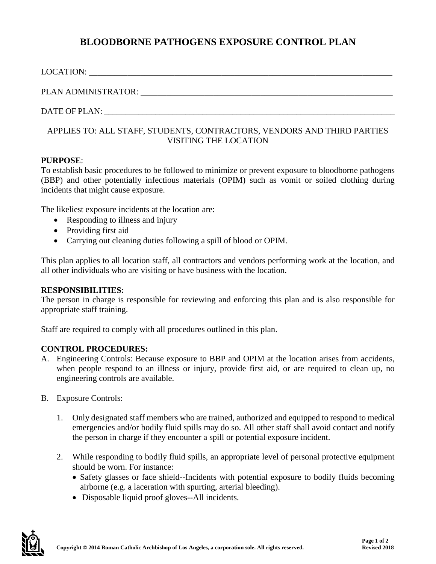# **BLOODBORNE PATHOGENS EXPOSURE CONTROL PLAN**

| PLAN ADMINISTRATOR: University of the contract of the contract of the contract of the contract of the contract of the contract of the contract of the contract of the contract of the contract of the contract of the contract |
|--------------------------------------------------------------------------------------------------------------------------------------------------------------------------------------------------------------------------------|
|                                                                                                                                                                                                                                |
| <u>A DDI IER TO. AI I ATA EE ATUDEMTA COMTO ACTORA VENIDODA AND TUIDD DADTIER</u>                                                                                                                                              |

### APPLIES TO: ALL STAFF, STUDENTS, CONTRACTORS, VENDORS AND THIRD PARTIES VISITING THE LOCATION

## **PURPOSE**:

To establish basic procedures to be followed to minimize or prevent exposure to bloodborne pathogens (BBP) and other potentially infectious materials (OPIM) such as vomit or soiled clothing during incidents that might cause exposure.

The likeliest exposure incidents at the location are:

- Responding to illness and injury
- Providing first aid
- Carrying out cleaning duties following a spill of blood or OPIM.

This plan applies to all location staff, all contractors and vendors performing work at the location, and all other individuals who are visiting or have business with the location.

### **RESPONSIBILITIES:**

The person in charge is responsible for reviewing and enforcing this plan and is also responsible for appropriate staff training.

Staff are required to comply with all procedures outlined in this plan.

### **CONTROL PROCEDURES:**

- A. Engineering Controls: Because exposure to BBP and OPIM at the location arises from accidents, when people respond to an illness or injury, provide first aid, or are required to clean up, no engineering controls are available.
- B. Exposure Controls:
	- 1. Only designated staff members who are trained, authorized and equipped to respond to medical emergencies and/or bodily fluid spills may do so. All other staff shall avoid contact and notify the person in charge if they encounter a spill or potential exposure incident.
	- 2. While responding to bodily fluid spills, an appropriate level of personal protective equipment should be worn. For instance:
		- Safety glasses or face shield--Incidents with potential exposure to bodily fluids becoming airborne (e.g. a laceration with spurting, arterial bleeding).
		- Disposable liquid proof gloves--All incidents.